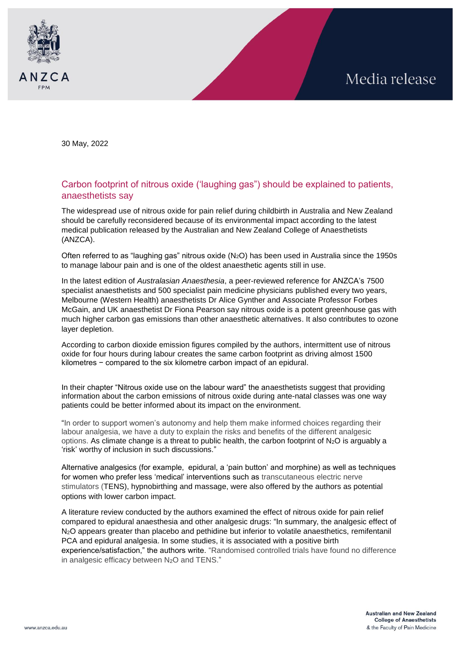

30 May, 2022

## Carbon footprint of nitrous oxide ('laughing gas") should be explained to patients, anaesthetists say

The widespread use of nitrous oxide for pain relief during childbirth in Australia and New Zealand should be carefully reconsidered because of its environmental impact according to the latest medical publication released by the Australian and New Zealand College of Anaesthetists (ANZCA).

Often referred to as "laughing gas" nitrous oxide  $(N_2O)$  has been used in Australia since the 1950s to manage labour pain and is one of the oldest anaesthetic agents still in use.

In the latest edition of *Australasian Anaesthesia*, a peer-reviewed reference for ANZCA's 7500 specialist anaesthetists and 500 specialist pain medicine physicians published every two years, Melbourne (Western Health) anaesthetists Dr Alice Gynther and Associate Professor Forbes McGain, and UK anaesthetist Dr Fiona Pearson say nitrous oxide is a potent greenhouse gas with much higher carbon gas emissions than other anaesthetic alternatives. It also contributes to ozone layer depletion.

According to carbon dioxide emission figures compiled by the authors, intermittent use of nitrous oxide for four hours during labour creates the same carbon footprint as driving almost 1500 kilometres − compared to the six kilometre carbon impact of an epidural.

In their chapter "Nitrous oxide use on the labour ward" the anaesthetists suggest that providing information about the carbon emissions of nitrous oxide during ante-natal classes was one way patients could be better informed about its impact on the environment.

"In order to support women's autonomy and help them make informed choices regarding their labour analgesia, we have a duty to explain the risks and benefits of the different analgesic options. As climate change is a threat to public health, the carbon footprint of  $N_2O$  is arguably a 'risk' worthy of inclusion in such discussions."

Alternative analgesics (for example, epidural, a 'pain button' and morphine) as well as techniques for women who prefer less 'medical' interventions such as transcutaneous electric nerve stimulators (TENS), hypnobirthing and massage, were also offered by the authors as potential options with lower carbon impact.

A literature review conducted by the authors examined the effect of nitrous oxide for pain relief compared to epidural anaesthesia and other analgesic drugs: "In summary, the analgesic effect of N2O appears greater than placebo and pethidine but inferior to volatile anaesthetics, remifentanil PCA and epidural analgesia. In some studies, it is associated with a positive birth experience/satisfaction," the authors write. "Randomised controlled trials have found no difference in analgesic efficacy between N<sub>2</sub>O and TENS."